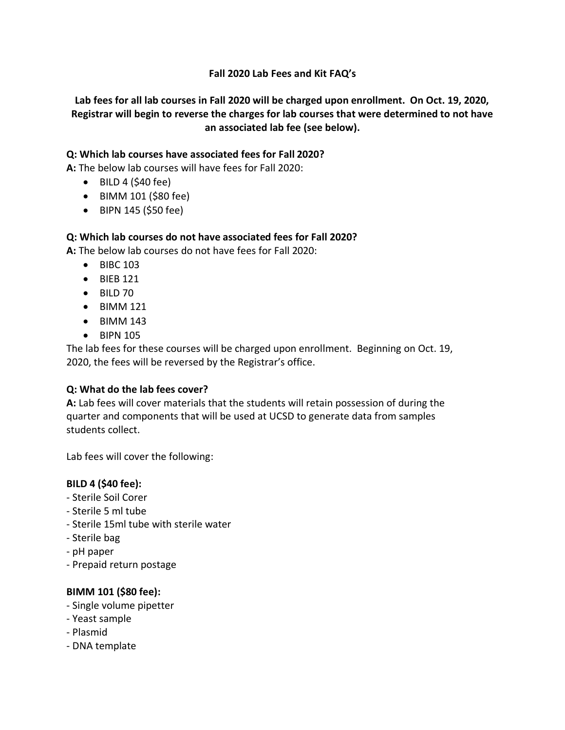## **Fall 2020 Lab Fees and Kit FAQ's**

## **Lab fees for all lab courses in Fall 2020 will be charged upon enrollment. On Oct. 19, 2020, Registrar will begin to reverse the charges for lab courses that were determined to not have an associated lab fee (see below).**

### **Q: Which lab courses have associated fees for Fall 2020?**

**A:** The below lab courses will have fees for Fall 2020:

- $\bullet$  BILD 4 (\$40 fee)
- BIMM 101 (\$80 fee)
- BIPN 145 (\$50 fee)

#### **Q: Which lab courses do not have associated fees for Fall 2020?**

**A:** The below lab courses do not have fees for Fall 2020:

- BIBC 103
- BIEB 121
- BILD 70
- BIMM 121
- BIMM 143
- BIPN 105

The lab fees for these courses will be charged upon enrollment. Beginning on Oct. 19, 2020, the fees will be reversed by the Registrar's office.

#### **Q: What do the lab fees cover?**

**A:** Lab fees will cover materials that the students will retain possession of during the quarter and components that will be used at UCSD to generate data from samples students collect.

Lab fees will cover the following:

#### **BILD 4 (\$40 fee):**

- Sterile Soil Corer
- Sterile 5 ml tube
- Sterile 15ml tube with sterile water
- Sterile bag
- pH paper
- Prepaid return postage

#### **BIMM 101 (\$80 fee):**

- Single volume pipetter
- Yeast sample
- Plasmid
- DNA template